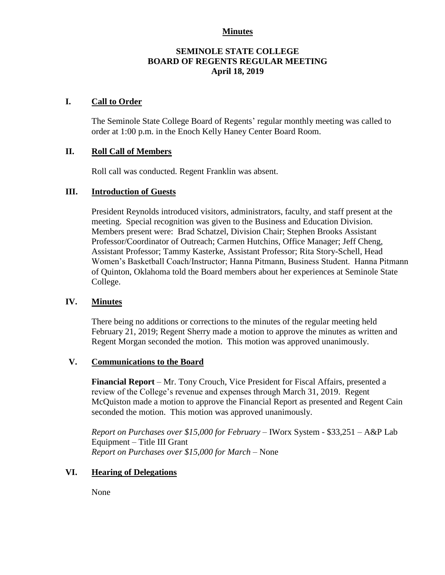## **Minutes**

## **SEMINOLE STATE COLLEGE BOARD OF REGENTS REGULAR MEETING April 18, 2019**

## **I. Call to Order**

The Seminole State College Board of Regents' regular monthly meeting was called to order at 1:00 p.m. in the Enoch Kelly Haney Center Board Room.

## **II. Roll Call of Members**

Roll call was conducted. Regent Franklin was absent.

## **III. Introduction of Guests**

President Reynolds introduced visitors, administrators, faculty, and staff present at the meeting. Special recognition was given to the Business and Education Division. Members present were: Brad Schatzel, Division Chair; Stephen Brooks Assistant Professor/Coordinator of Outreach; Carmen Hutchins, Office Manager; Jeff Cheng, Assistant Professor; Tammy Kasterke, Assistant Professor; Rita Story-Schell, Head Women's Basketball Coach/Instructor; Hanna Pitmann, Business Student. Hanna Pitmann of Quinton, Oklahoma told the Board members about her experiences at Seminole State College.

### **IV. Minutes**

There being no additions or corrections to the minutes of the regular meeting held February 21, 2019; Regent Sherry made a motion to approve the minutes as written and Regent Morgan seconded the motion. This motion was approved unanimously.

#### **V. Communications to the Board**

**Financial Report** – Mr. Tony Crouch, Vice President for Fiscal Affairs, presented a review of the College's revenue and expenses through March 31, 2019. Regent McQuiston made a motion to approve the Financial Report as presented and Regent Cain seconded the motion. This motion was approved unanimously.

*Report on Purchases over \$15,000 for February –* IWorx System - \$33,251 – A&P Lab Equipment – Title III Grant *Report on Purchases over \$15,000 for March –* None

## **VI. Hearing of Delegations**

None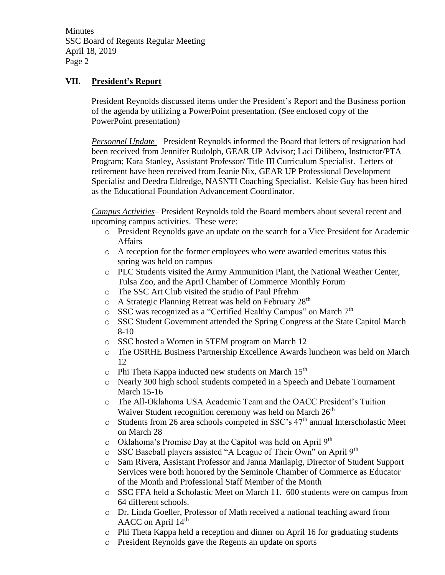**Minutes** SSC Board of Regents Regular Meeting April 18, 2019 Page 2

## **VII. President's Report**

President Reynolds discussed items under the President's Report and the Business portion of the agenda by utilizing a PowerPoint presentation. (See enclosed copy of the PowerPoint presentation)

*Personnel Update* – President Reynolds informed the Board that letters of resignation had been received from Jennifer Rudolph, GEAR UP Advisor; Laci Dilibero, Instructor/PTA Program; Kara Stanley, Assistant Professor/ Title III Curriculum Specialist. Letters of retirement have been received from Jeanie Nix, GEAR UP Professional Development Specialist and Deedra Eldredge, NASNTI Coaching Specialist. Kelsie Guy has been hired as the Educational Foundation Advancement Coordinator.

*Campus Activities*– President Reynolds told the Board members about several recent and upcoming campus activities. These were:

- o President Reynolds gave an update on the search for a Vice President for Academic Affairs
- o A reception for the former employees who were awarded emeritus status this spring was held on campus
- o PLC Students visited the Army Ammunition Plant, the National Weather Center, Tulsa Zoo, and the April Chamber of Commerce Monthly Forum
- o The SSC Art Club visited the studio of Paul Pfrehm
- $\circ$  A Strategic Planning Retreat was held on February 28<sup>th</sup>
- o SSC was recognized as a "Certified Healthy Campus" on March 7th
- o SSC Student Government attended the Spring Congress at the State Capitol March 8-10
- o SSC hosted a Women in STEM program on March 12
- o The OSRHE Business Partnership Excellence Awards luncheon was held on March 12
- $\circ$  Phi Theta Kappa inducted new students on March 15<sup>th</sup>
- o Nearly 300 high school students competed in a Speech and Debate Tournament March 15-16
- o The All-Oklahoma USA Academic Team and the OACC President's Tuition Waiver Student recognition ceremony was held on March 26<sup>th</sup>
- o Students from 26 area schools competed in SSC's 47th annual Interscholastic Meet on March 28
- o Oklahoma's Promise Day at the Capitol was held on April 9th
- o SSC Baseball players assisted "A League of Their Own" on April 9<sup>th</sup>
- o Sam Rivera, Assistant Professor and Janna Manlapig, Director of Student Support Services were both honored by the Seminole Chamber of Commerce as Educator of the Month and Professional Staff Member of the Month
- o SSC FFA held a Scholastic Meet on March 11. 600 students were on campus from 64 different schools.
- o Dr. Linda Goeller, Professor of Math received a national teaching award from AACC on April 14th
- o Phi Theta Kappa held a reception and dinner on April 16 for graduating students
- o President Reynolds gave the Regents an update on sports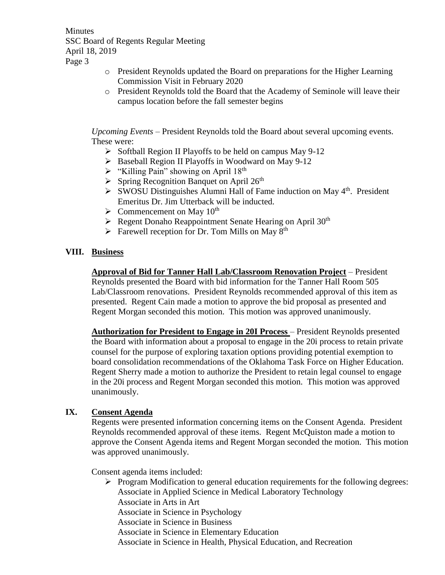**Minutes** SSC Board of Regents Regular Meeting April 18, 2019 Page 3

- o President Reynolds updated the Board on preparations for the Higher Learning Commission Visit in February 2020
- o President Reynolds told the Board that the Academy of Seminole will leave their campus location before the fall semester begins

*Upcoming Events* – President Reynolds told the Board about several upcoming events. These were:

- $\triangleright$  Softball Region II Playoffs to be held on campus May 9-12
- $\triangleright$  Baseball Region II Playoffs in Woodward on May 9-12
- $\triangleright$  "Killing Pain" showing on April 18<sup>th</sup>
- $\triangleright$  Spring Recognition Banquet on April 26<sup>th</sup>
- $\triangleright$  SWOSU Distinguishes Alumni Hall of Fame induction on May 4<sup>th</sup>. President Emeritus Dr. Jim Utterback will be inducted.
- $\triangleright$  Commencement on May 10<sup>th</sup>
- $\triangleright$  Regent Donaho Reappointment Senate Hearing on April 30<sup>th</sup>
- $\triangleright$  Farewell reception for Dr. Tom Mills on May 8<sup>th</sup>

## **VIII. Business**

**Approval of Bid for Tanner Hall Lab/Classroom Renovation Project** – President Reynolds presented the Board with bid information for the Tanner Hall Room 505 Lab/Classroom renovations. President Reynolds recommended approval of this item as presented. Regent Cain made a motion to approve the bid proposal as presented and Regent Morgan seconded this motion. This motion was approved unanimously.

**Authorization for President to Engage in 20I Process** – President Reynolds presented the Board with information about a proposal to engage in the 20i process to retain private counsel for the purpose of exploring taxation options providing potential exemption to board consolidation recommendations of the Oklahoma Task Force on Higher Education. Regent Sherry made a motion to authorize the President to retain legal counsel to engage in the 20i process and Regent Morgan seconded this motion. This motion was approved unanimously.

## **IX. Consent Agenda**

Regents were presented information concerning items on the Consent Agenda. President Reynolds recommended approval of these items. Regent McQuiston made a motion to approve the Consent Agenda items and Regent Morgan seconded the motion. This motion was approved unanimously.

Consent agenda items included:

- $\triangleright$  Program Modification to general education requirements for the following degrees: Associate in Applied Science in Medical Laboratory Technology Associate in Arts in Art
	- Associate in Science in Psychology
	- Associate in Science in Business
	- Associate in Science in Elementary Education
	- Associate in Science in Health, Physical Education, and Recreation